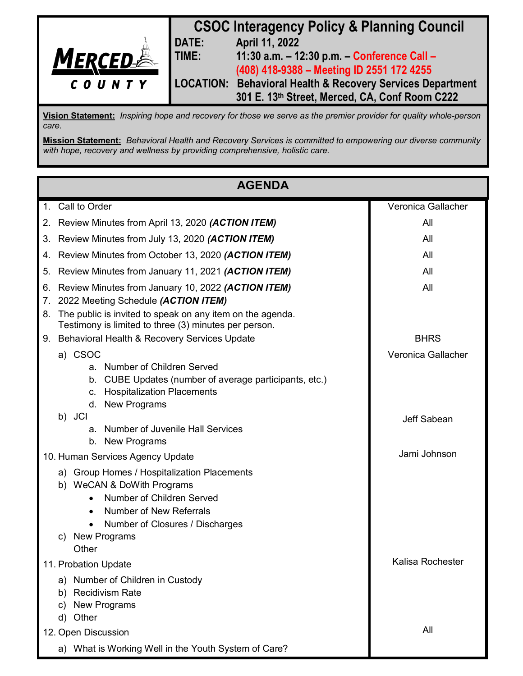

**Vision Statement:** *Inspiring hope and recovery for those we serve as the premier provider for quality whole-person care.*

**Mission Statement:** *Behavioral Health and Recovery Services is committed to empowering our diverse community with hope, recovery and wellness by providing comprehensive, holistic care.*

| <b>AGENDA</b>        |                                                                                                                                                                                                                          |                    |
|----------------------|--------------------------------------------------------------------------------------------------------------------------------------------------------------------------------------------------------------------------|--------------------|
|                      | 1. Call to Order                                                                                                                                                                                                         | Veronica Gallacher |
|                      | 2. Review Minutes from April 13, 2020 (ACTION ITEM)                                                                                                                                                                      | All                |
| 3.                   | Review Minutes from July 13, 2020 (ACTION ITEM)                                                                                                                                                                          | All                |
|                      | 4. Review Minutes from October 13, 2020 (ACTION ITEM)                                                                                                                                                                    | All                |
| 5.                   | Review Minutes from January 11, 2021 (ACTION ITEM)                                                                                                                                                                       | All                |
| 6.<br>7.<br>8.       | Review Minutes from January 10, 2022 (ACTION ITEM)<br>2022 Meeting Schedule (ACTION ITEM)<br>The public is invited to speak on any item on the agenda.                                                                   | All                |
|                      | Testimony is limited to three (3) minutes per person.                                                                                                                                                                    |                    |
|                      | 9. Behavioral Health & Recovery Services Update                                                                                                                                                                          | <b>BHRS</b>        |
|                      | a) CSOC<br>a. Number of Children Served<br>CUBE Updates (number of average participants, etc.)<br>b.<br><b>Hospitalization Placements</b><br>C.<br>d. New Programs                                                       | Veronica Gallacher |
|                      | b) JCI<br><b>Number of Juvenile Hall Services</b><br>a.<br>b. New Programs                                                                                                                                               | Jeff Sabean        |
|                      | 10. Human Services Agency Update                                                                                                                                                                                         | Jami Johnson       |
| C)                   | a) Group Homes / Hospitalization Placements<br>b) WeCAN & DoWith Programs<br>Number of Children Served<br><b>Number of New Referrals</b><br>$\bullet$<br>Number of Closures / Discharges<br><b>New Programs</b><br>Other |                    |
| 11. Probation Update |                                                                                                                                                                                                                          | Kalisa Rochester   |
| b)<br>C)<br>d)       | a) Number of Children in Custody<br><b>Recidivism Rate</b><br><b>New Programs</b><br>Other                                                                                                                               |                    |
| 12. Open Discussion  |                                                                                                                                                                                                                          | All                |
|                      | a) What is Working Well in the Youth System of Care?                                                                                                                                                                     |                    |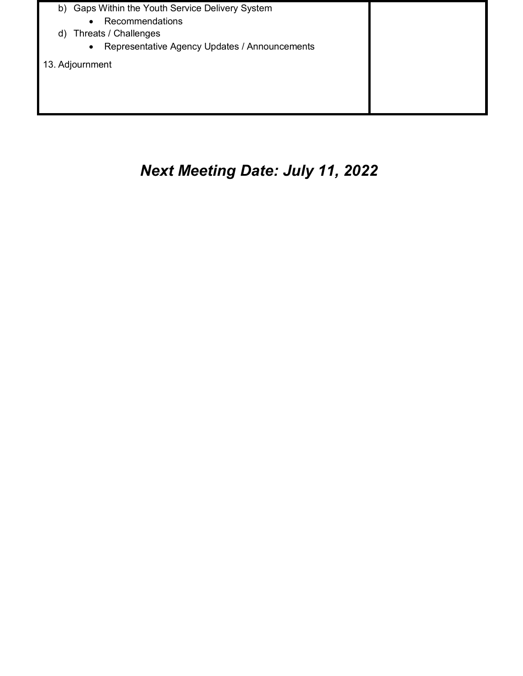

# *Next Meeting Date: July 11, 2022*